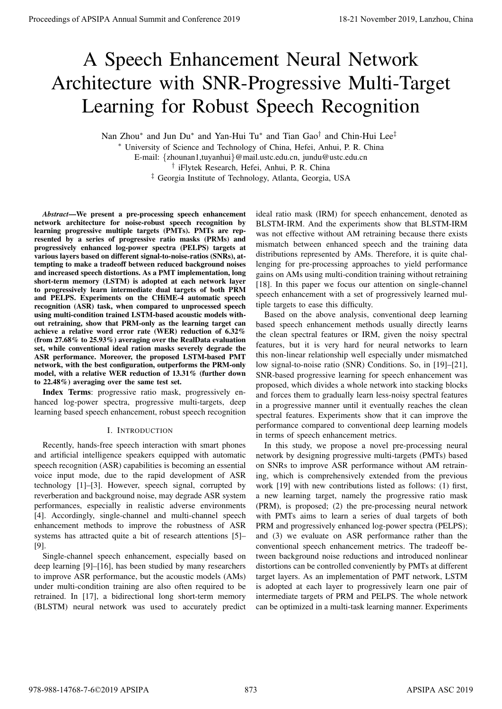# A Speech Enhancement Neural Network Architecture with SNR-Progressive Multi-Target Learning for Robust Speech Recognition

Nan Zhou\* and Jun Du\* and Yan-Hui Tu\* and Tian Gao<sup>†</sup> and Chin-Hui Lee<sup>‡</sup>

<sup>∗</sup> University of Science and Technology of China, Hefei, Anhui, P. R. China E-mail: {zhounan1,tuyanhui}@mail.ustc.edu.cn, jundu@ustc.edu.cn † iFlytek Research, Hefei, Anhui, P. R. China ‡ Georgia Institute of Technology, Atlanta, Georgia, USA

*Abstract*—We present a pre-processing speech enhancement network architecture for noise-robust speech recognition by learning progressive multiple targets (PMTs). PMTs are represented by a series of progressive ratio masks (PRMs) and progressively enhanced log-power spectra (PELPS) targets at various layers based on different signal-to-noise-ratios (SNRs), attempting to make a tradeoff between reduced background noises and increased speech distortions. As a PMT implementation, long short-term memory (LSTM) is adopted at each network layer to progressively learn intermediate dual targets of both PRM and PELPS. Experiments on the CHiME-4 automatic speech recognition (ASR) task, when compared to unprocessed speech using multi-condition trained LSTM-based acoustic models without retraining, show that PRM-only as the learning target can achieve a relative word error rate (WER) reduction of 6.32% (from 27.68% to 25.93%) averaging over the RealData evaluation set, while conventional ideal ration masks severely degrade the ASR performance. Moreover, the proposed LSTM-based PMT network, with the best configuration, outperforms the PRM-only model, with a relative WER reduction of 13.31% (further down to 22.48%) averaging over the same test set. **Proceedings of APSIPA Annual Summit of Conference 2019**<br>
A Speech Enhancement Neural Network Annual Summit and Conference 2019<br>
Learning for Robust Speech Recognition<br>
November 2019 18-21 November 2019 2018 APSIPA and Co

Index Terms: progressive ratio mask, progressively enhanced log-power spectra, progressive multi-targets, deep learning based speech enhancement, robust speech recognition

## I. INTRODUCTION

Recently, hands-free speech interaction with smart phones and artificial intelligence speakers equipped with automatic speech recognition (ASR) capabilities is becoming an essential voice input mode, due to the rapid development of ASR technology [1]–[3]. However, speech signal, corrupted by reverberation and background noise, may degrade ASR system performances, especially in realistic adverse environments [4]. Accordingly, single-channel and multi-channel speech enhancement methods to improve the robustness of ASR systems has attracted quite a bit of research attentions [5]– [9].

Single-channel speech enhancement, especially based on deep learning [9]–[16], has been studied by many researchers to improve ASR performance, but the acoustic models (AMs) under multi-condition training are also often required to be retrained. In [17], a bidirectional long short-term memory (BLSTM) neural network was used to accurately predict ideal ratio mask (IRM) for speech enhancement, denoted as BLSTM-IRM. And the experiments show that BLSTM-IRM was not effective without AM retraining because there exists mismatch between enhanced speech and the training data distributions represented by AMs. Therefore, it is quite challenging for pre-processing approaches to yield performance gains on AMs using multi-condition training without retraining [18]. In this paper we focus our attention on single-channel speech enhancement with a set of progressively learned multiple targets to ease this difficulty.

Based on the above analysis, conventional deep learning based speech enhancement methods usually directly learns the clean spectral features or IRM, given the noisy spectral features, but it is very hard for neural networks to learn this non-linear relationship well especially under mismatched low signal-to-noise ratio (SNR) Conditions. So, in [19]–[21], SNR-based progressive learning for speech enhancement was proposed, which divides a whole network into stacking blocks and forces them to gradually learn less-noisy spectral features in a progressive manner until it eventually reaches the clean spectral features. Experiments show that it can improve the performance compared to conventional deep learning models in terms of speech enhancement metrics.

In this study, we propose a novel pre-processing neural network by designing progressive multi-targets (PMTs) based on SNRs to improve ASR performance without AM retraining, which is comprehensively extended from the previous work [19] with new contributions listed as follows: (1) first, a new learning target, namely the progressive ratio mask (PRM), is proposed; (2) the pre-processing neural network with PMTs aims to learn a series of dual targets of both PRM and progressively enhanced log-power spectra (PELPS); and (3) we evaluate on ASR performance rather than the conventional speech enhancement metrics. The tradeoff between background noise reductions and introduced nonlinear distortions can be controlled conveniently by PMTs at different target layers. As an implementation of PMT network, LSTM is adopted at each layer to progressively learn one pair of intermediate targets of PRM and PELPS. The whole network can be optimized in a multi-task learning manner. Experiments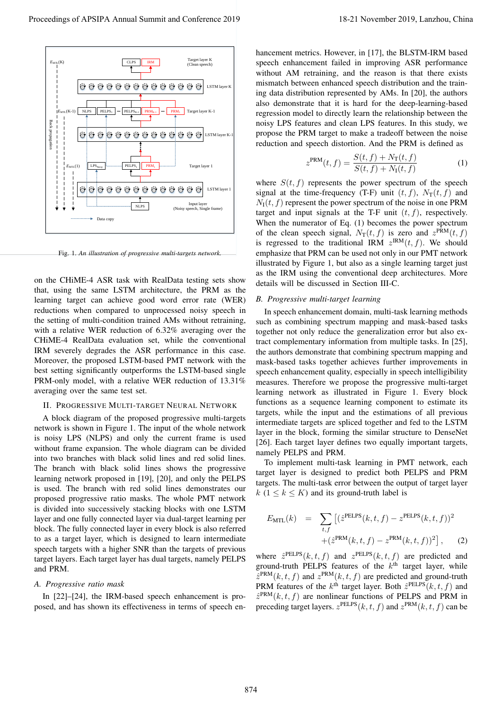

Fig. 1. *An illustration of progressive multi-targets network.*

on the CHiME-4 ASR task with RealData testing sets show that, using the same LSTM architecture, the PRM as the learning target can achieve good word error rate (WER) reductions when compared to unprocessed noisy speech in the setting of multi-condition trained AMs without retraining, with a relative WER reduction of 6.32% averaging over the CHiME-4 RealData evaluation set, while the conventional IRM severely degrades the ASR performance in this case. Moreover, the proposed LSTM-based PMT network with the best setting significantly outperforms the LSTM-based single PRM-only model, with a relative WER reduction of 13.31% averaging over the same test set.

#### II. PROGRESSIVE MULTI-TARGET NEURAL NETWORK

A block diagram of the proposed progressive multi-targets network is shown in Figure 1. The input of the whole network is noisy LPS (NLPS) and only the current frame is used without frame expansion. The whole diagram can be divided into two branches with black solid lines and red solid lines. The branch with black solid lines shows the progressive learning network proposed in [19], [20], and only the PELPS is used. The branch with red solid lines demonstrates our proposed progressive ratio masks. The whole PMT network is divided into successively stacking blocks with one LSTM layer and one fully connected layer via dual-target learning per block. The fully connected layer in every block is also referred to as a target layer, which is designed to learn intermediate speech targets with a higher SNR than the targets of previous target layers. Each target layer has dual targets, namely PELPS and PRM.

#### *A. Progressive ratio mask*

In [22]–[24], the IRM-based speech enhancement is proposed, and has shown its effectiveness in terms of speech enhancement metrics. However, in [17], the BLSTM-IRM based speech enhancement failed in improving ASR performance without AM retraining, and the reason is that there exists mismatch between enhanced speech distribution and the training data distribution represented by AMs. In [20], the authors also demonstrate that it is hard for the deep-learning-based regression model to directly learn the relationship between the noisy LPS features and clean LPS features. In this study, we propose the PRM target to make a tradeoff between the noise reduction and speech distortion. And the PRM is defined as

$$
z^{\text{PRM}}(t,f) = \frac{S(t,f) + N_{\text{T}}(t,f)}{S(t,f) + N_{\text{I}}(t,f)}
$$
(1)

where  $S(t, f)$  represents the power spectrum of the speech signal at the time-frequency (T-F) unit  $(t, f)$ ,  $N_T(t, f)$  and  $N_I(t, f)$  represent the power spectrum of the noise in one PRM target and input signals at the T-F unit  $(t, f)$ , respectively. When the numerator of Eq. (1) becomes the power spectrum of the clean speech signal,  $N_T(t, f)$  is zero and  $z^{PRM}(t, f)$ is regressed to the traditional IRM  $z^{\text{IRM}}(t, f)$ . We should emphasize that PRM can be used not only in our PMT network illustrated by Figure 1, but also as a single learning target just as the IRM using the conventional deep architectures. More details will be discussed in Section III-C.

## *B. Progressive multi-target learning*

In speech enhancement domain, multi-task learning methods such as combining spectrum mapping and mask-based tasks together not only reduce the generalization error but also extract complementary information from multiple tasks. In [25], the authors demonstrate that combining spectrum mapping and mask-based tasks together achieves further improvements in speech enhancement quality, especially in speech intelligibility measures. Therefore we propose the progressive multi-target learning network as illustrated in Figure 1. Every block functions as a sequence learning component to estimate its targets, while the input and the estimations of all previous intermediate targets are spliced together and fed to the LSTM layer in the block, forming the similar structure to DenseNet [26]. Each target layer defines two equally important targets, namely PELPS and PRM.

To implement multi-task learning in PMT network, each target layer is designed to predict both PELPS and PRM targets. The multi-task error between the output of target layer k (1  $\leq$  k  $\leq$  K) and its ground-truth label is

$$
E_{\text{MTL}}(k) = \sum_{t,f} \left[ (\hat{z}^{\text{PELPS}}(k, t, f) - z^{\text{PELPS}}(k, t, f))^2 + (\hat{z}^{\text{PRM}}(k, t, f) - z^{\text{PRM}}(k, t, f))^2 \right],
$$
 (2)

where  $\hat{z}^{\text{PELPS}}(k, t, f)$  and  $z^{\text{PELPS}}(k, t, f)$  are predicted and ground-truth PELPS features of the  $k<sup>th</sup>$  target layer, while  $\hat{z}^{\text{PRM}}(k, t, f)$  and  $z^{\text{PRM}}(k, t, f)$  are predicted and ground-truth PRM features of the  $k^{\text{th}}$  target layer. Both  $\hat{z}^{\text{PELPS}}(k, t, f)$  and  $\hat{z}^{\text{PRM}}(k, t, f)$  are nonlinear functions of PELPS and PRM in preceding target layers.  $z^{\text{PELPS}}(k, t, f)$  and  $z^{\text{PRM}}(k, t, f)$  can be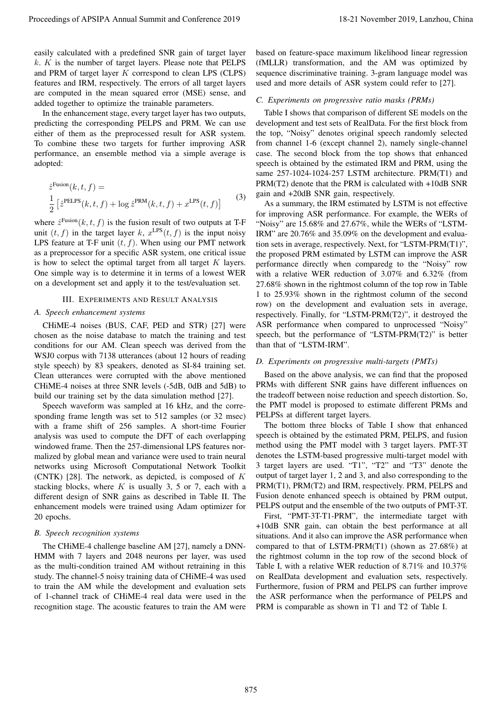easily calculated with a predefined SNR gain of target layer  $k$ .  $K$  is the number of target layers. Please note that PELPS and PRM of target layer K correspond to clean LPS (CLPS) features and IRM, respectively. The errors of all target layers are computed in the mean squared error (MSE) sense, and added together to optimize the trainable parameters.

In the enhancement stage, every target layer has two outputs, predicting the corresponding PELPS and PRM. We can use either of them as the preprocessed result for ASR system. To combine these two targets for further improving ASR performance, an ensemble method via a simple average is adopted:

$$
\hat{z}^{\text{Fusion}}(k, t, f) =
$$
\n
$$
\frac{1}{2} \left[ \hat{z}^{\text{PELPS}}(k, t, f) + \log \hat{z}^{\text{PRM}}(k, t, f) + x^{\text{LPS}}(t, f) \right]
$$
\n(3)

where  $\hat{z}^{\text{Fusion}}(k, t, f)$  is the fusion result of two outputs at T-F unit  $(t, f)$  in the target layer k,  $x^{\text{LPS}}(t, f)$  is the input noisy LPS feature at T-F unit  $(t, f)$ . When using our PMT network as a preprocessor for a specific ASR system, one critical issue is how to select the optimal target from all target  $K$  layers. One simple way is to determine it in terms of a lowest WER on a development set and apply it to the test/evaluation set.

## III. EXPERIMENTS AND RESULT ANALYSIS

# *A. Speech enhancement systems*

CHiME-4 noises (BUS, CAF, PED and STR) [27] were chosen as the noise database to match the training and test conditions for our AM. Clean speech was derived from the WSJ0 corpus with 7138 utterances (about 12 hours of reading style speech) by 83 speakers, denoted as SI-84 training set. Clean utterances were corrupted with the above mentioned CHiME-4 noises at three SNR levels (-5dB, 0dB and 5dB) to build our training set by the data simulation method [27].

Speech waveform was sampled at 16 kHz, and the corresponding frame length was set to 512 samples (or 32 msec) with a frame shift of 256 samples. A short-time Fourier analysis was used to compute the DFT of each overlapping windowed frame. Then the 257-dimensional LPS features normalized by global mean and variance were used to train neural networks using Microsoft Computational Network Toolkit (CNTK) [28]. The network, as depicted, is composed of  $K$ stacking blocks, where  $K$  is usually 3, 5 or 7, each with a different design of SNR gains as described in Table II. The enhancement models were trained using Adam optimizer for 20 epochs.

# *B. Speech recognition systems*

The CHiME-4 challenge baseline AM [27], namely a DNN-HMM with 7 layers and 2048 neurons per layer, was used as the multi-condition trained AM without retraining in this study. The channel-5 noisy training data of CHiME-4 was used to train the AM while the development and evaluation sets of 1-channel track of CHiME-4 real data were used in the recognition stage. The acoustic features to train the AM were based on feature-space maximum likelihood linear regression (fMLLR) transformation, and the AM was optimized by sequence discriminative training. 3-gram language model was used and more details of ASR system could refer to [27].

## *C. Experiments on progressive ratio masks (PRMs)*

Table I shows that comparison of different SE models on the development and test sets of RealData. For the first block from the top, "Noisy" denotes original speech randomly selected from channel 1-6 (except channel 2), namely single-channel case. The second block from the top shows that enhanced speech is obtained by the estimated IRM and PRM, using the same 257-1024-1024-257 LSTM architecture. PRM(T1) and PRM(T2) denote that the PRM is calculated with +10dB SNR gain and +20dB SNR gain, respectively.

As a summary, the IRM estimated by LSTM is not effective for improving ASR performance. For example, the WERs of "Noisy" are 15.68% and 27.67%, while the WERs of "LSTM-IRM" are 20.76% and 35.09% on the development and evaluation sets in average, respectively. Next, for "LSTM-PRM(T1)", the proposed PRM estimated by LSTM can improve the ASR performance directly when comparedg to the "Noisy" row with a relative WER reduction of 3.07% and 6.32% (from 27.68% shown in the rightmost column of the top row in Table 1 to 25.93% shown in the rightmost column of the second row) on the development and evaluation sets in average, respectively. Finally, for "LSTM-PRM(T2)", it destroyed the ASR performance when compared to unprocessed "Noisy" speech, but the performance of "LSTM-PRM(T2)" is better than that of "LSTM-IRM". Proceedings of APSIPA Annual Summit at China 875 Line 1 bits distance 2019 18-21 November 2019 18-21 November 2019 18-21 November 2019 18-21 November 2019 18-21 November 2019 18-21 November 2019 18-21 November 2019 18-21

# *D. Experiments on progressive multi-targets (PMTs)*

Based on the above analysis, we can find that the proposed PRMs with different SNR gains have different influences on the tradeoff between noise reduction and speech distortion. So, the PMT model is proposed to estimate different PRMs and PELPSs at different target layers.

The bottom three blocks of Table I show that enhanced speech is obtained by the estimated PRM, PELPS, and fusion method using the PMT model with 3 target layers. PMT-3T denotes the LSTM-based progressive multi-target model with 3 target layers are used. "T1", "T2" and "T3" denote the output of target layer 1, 2 and 3, and also corresponding to the PRM(T1), PRM(T2) and IRM, respectively. PRM, PELPS and Fusion denote enhanced speech is obtained by PRM output, PELPS output and the ensemble of the two outputs of PMT-3T.

First, "PMT-3T-T1-PRM", the intermediate target with +10dB SNR gain, can obtain the best performance at all situations. And it also can improve the ASR performance when compared to that of LSTM-PRM(T1) (shown as 27.68%) at the rightmost column in the top row of the second block of Table I, with a relative WER reduction of 8.71% and 10.37% on RealData development and evaluation sets, respectively. Furthermore, fusion of PRM and PELPS can further improve the ASR performance when the performance of PELPS and PRM is comparable as shown in T1 and T2 of Table I.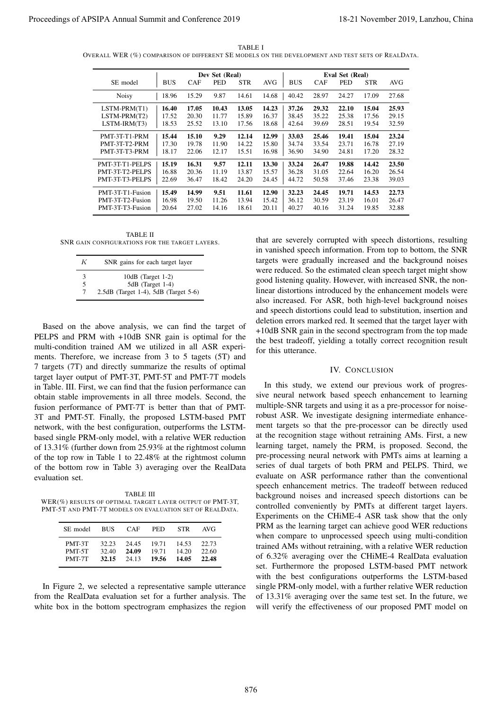| TABLE I                                                                                         |  |
|-------------------------------------------------------------------------------------------------|--|
| OVERALL WER (%) COMPARISON OF DIFFERENT SE MODELS ON THE DEVELOPMENT AND TEST SETS OF REALDATA. |  |

|                  | Dev Set (Real) |            |       |            | Eval Set (Real) |            |       |       |            |       |
|------------------|----------------|------------|-------|------------|-----------------|------------|-------|-------|------------|-------|
| SE model         | <b>BUS</b>     | <b>CAF</b> | PED   | <b>STR</b> | <b>AVG</b>      | <b>BUS</b> | CAF   | PED   | <b>STR</b> | AVG   |
| <b>Noisy</b>     | 18.96          | 15.29      | 9.87  | 14.61      | 14.68           | 40.42      | 28.97 | 24.27 | 17.09      | 27.68 |
| LSTM-PRM(T1)     | 16.40          | 17.05      | 10.43 | 13.05      | 14.23           | 37.26      | 29.32 | 22.10 | 15.04      | 25.93 |
| LSTM-PRM(T2)     | 17.52          | 20.30      | 11.77 | 15.89      | 16.37           | 38.45      | 35.22 | 25.38 | 17.56      | 29.15 |
| $LSTM-IRM(T3)$   | 18.53          | 25.52      | 13.10 | 17.56      | 18.68           | 42.64      | 39.69 | 28.51 | 19.54      | 32.59 |
| PMT-3T-T1-PRM    | 15.44          | 15.10      | 9.29  | 12.14      | 12.99           | 33.03      | 25.46 | 19.41 | 15.04      | 23.24 |
| PMT-3T-T2-PRM    | 17.30          | 19.78      | 11.90 | 14.22      | 15.80           | 34.74      | 33.54 | 23.71 | 16.78      | 27.19 |
| PMT-3T-T3-PRM    | 18.17          | 22.06      | 12.17 | 15.51      | 16.98           | 36.90      | 34.90 | 24.81 | 17.20      | 28.32 |
| PMT-3T-T1-PELPS  | 15.19          | 16.31      | 9.57  | 12.11      | 13.30           | 33.24      | 26.47 | 19.88 | 14.42      | 23.50 |
| PMT-3T-T2-PELPS  | 16.88          | 20.36      | 11.19 | 13.87      | 15.57           | 36.28      | 31.05 | 22.64 | 16.20      | 26.54 |
| PMT-3T-T3-PELPS  | 22.69          | 36.47      | 18.42 | 24.20      | 24.45           | 44.72      | 50.58 | 37.46 | 23.38      | 39.03 |
| PMT-3T-T1-Fusion | 15.49          | 14.99      | 9.51  | 11.61      | 12.90           | 32.23      | 24.45 | 19.71 | 14.53      | 22.73 |
| PMT-3T-T2-Fusion | 16.98          | 19.50      | 11.26 | 13.94      | 15.42           | 36.12      | 30.59 | 23.19 | 16.01      | 26.47 |
| PMT-3T-T3-Fusion | 20.64          | 27.02      | 14.16 | 18.61      | 20.11           | 40.27      | 40.16 | 31.24 | 19.85      | 32.88 |

TABLE II SNR GAIN CONFIGURATIONS FOR THE TARGET LAYERS.

| K | SNR gains for each target layer          |
|---|------------------------------------------|
| 3 | $10dB$ (Target 1-2)                      |
| 5 | 5dB (Target 1-4)                         |
| 7 | $2.5dB$ (Target 1-4), $5dB$ (Target 5-6) |

Based on the above analysis, we can find the target of PELPS and PRM with +10dB SNR gain is optimal for the multi-condition trained AM we utilized in all ASR experiments. Therefore, we increase from 3 to 5 tagets (5T) and 7 targets (7T) and directly summarize the results of optimal target layer output of PMT-3T, PMT-5T and PMT-7T models in Table. III. First, we can find that the fusion performance can obtain stable improvements in all three models. Second, the fusion performance of PMT-7T is better than that of PMT-3T and PMT-5T. Finally, the proposed LSTM-based PMT network, with the best configuration, outperforms the LSTMbased single PRM-only model, with a relative WER reduction of 13.31% (further down from 25.93% at the rightmost column of the top row in Table 1 to 22.48% at the rightmost column of the bottom row in Table 3) averaging over the RealData evaluation set.

TABLE III WER(%) RESULTS OF OPTIMAL TARGET LAYER OUTPUT OF PMT-3T, PMT-5T AND PMT-7T MODELS ON EVALUATION SET OF REALDATA.

| SE model | <b>BUS</b> | <b>CAF</b> | PED.  | <b>STR</b> | AVG   |
|----------|------------|------------|-------|------------|-------|
| PMT-3T   | 32.23      | 24.45      | 19.71 | 14.53      | 22.73 |
| PMT-5T   | 32.40      | 24.09      | 19.71 | 14.20      | 22.60 |
| PMT-7T   | 32.15      | 24.13      | 19.56 | 14.05      | 22.48 |

In Figure 2, we selected a representative sample utterance from the RealData evaluation set for a further analysis. The white box in the bottom spectrogram emphasizes the region that are severely corrupted with speech distortions, resulting in vanished speech information. From top to bottom, the SNR targets were gradually increased and the background noises were reduced. So the estimated clean speech target might show good listening quality. However, with increased SNR, the nonlinear distortions introduced by the enhancement models were also increased. For ASR, both high-level background noises and speech distortions could lead to substitution, insertion and deletion errors marked red. It seemed that the target layer with +10dB SNR gain in the second spectrogram from the top made the best tradeoff, yielding a totally correct recognition result for this utterance.

#### IV. CONCLUSION

In this study, we extend our previous work of progressive neural network based speech enhancement to learning multiple-SNR targets and using it as a pre-processor for noiserobust ASR. We investigate designing intermediate enhancement targets so that the pre-processor can be directly used at the recognition stage without retraining AMs. First, a new learning target, namely the PRM, is proposed. Second, the pre-processing neural network with PMTs aims at learning a series of dual targets of both PRM and PELPS. Third, we evaluate on ASR performance rather than the conventional speech enhancement metrics. The tradeoff between reduced background noises and increased speech distortions can be controlled conveniently by PMTs at different target layers. Experiments on the CHiME-4 ASR task show that the only PRM as the learning target can achieve good WER reductions when compare to unprocessed speech using multi-condition trained AMs without retraining, with a relative WER reduction of 6.32% averaging over the CHiME-4 RealData evaluation set. Furthermore the proposed LSTM-based PMT network with the best configurations outperforms the LSTM-based single PRM-only model, with a further relative WER reduction of 13.31% averaging over the same test set. In the future, we will verify the effectiveness of our proposed PMT model on Proceedings of APSIPA Annual Summit and Conference 2019 18-21 November 2019, Lanzhou, China 876